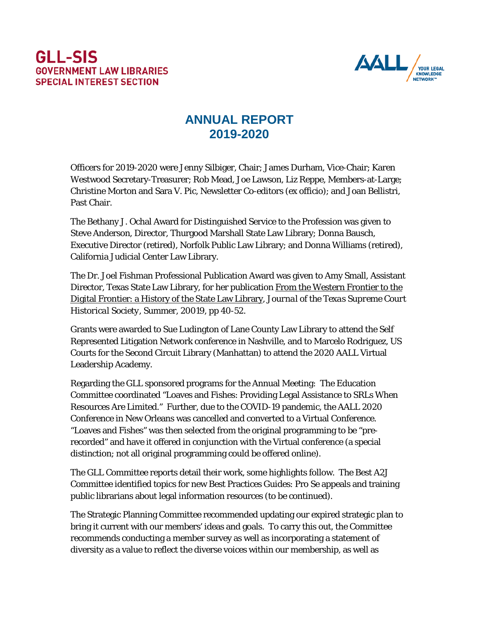

# **ANNUAL REPORT 2019-2020**

Officers for 2019-2020 were Jenny Silbiger, Chair; James Durham, Vice-Chair; Karen Westwood Secretary-Treasurer; Rob Mead, Joe Lawson, Liz Reppe, Members-at-Large; Christine Morton and Sara V. Pic, Newsletter Co-editors (ex officio); and Joan Bellistri, Past Chair.

The Bethany J. Ochal Award for Distinguished Service to the Profession was given to Steve Anderson, Director, Thurgood Marshall State Law Library; Donna Bausch, Executive Director (retired), Norfolk Public Law Library; and Donna Williams (retired), California Judicial Center Law Library.

The Dr. Joel Fishman Professional Publication Award was given to Amy Small, Assistant Director, Texas State Law Library, for her publication From the Western Frontier to the Digital Frontier: a History of the State Law Library, *Journal of the Texas Supreme Court Historical Society,* Summer, 20019, pp 40-52.

Grants were awarded to Sue Ludington of Lane County Law Library to attend the Self Represented Litigation Network conference in Nashville, and to Marcelo Rodriguez, US Courts for the Second Circuit Library (Manhattan) to attend the 2020 AALL Virtual Leadership Academy.

Regarding the GLL sponsored programs for the Annual Meeting: The Education Committee coordinated "Loaves and Fishes: Providing Legal Assistance to SRLs When Resources Are Limited." Further, due to the COVID-19 pandemic, the AALL 2020 Conference in New Orleans was cancelled and converted to a Virtual Conference. "Loaves and Fishes" was then selected from the original programming to be "prerecorded" and have it offered in conjunction with the Virtual conference (a special distinction; not all original programming could be offered online).

The GLL Committee reports detail their work, some highlights follow. The Best A2J Committee identified topics for new Best Practices Guides: Pro Se appeals and training public librarians about legal information resources (to be continued).

The Strategic Planning Committee recommended updating our expired strategic plan to bring it current with our members' ideas and goals. To carry this out, the Committee recommends conducting a member survey as well as incorporating a statement of diversity as a value to reflect the diverse voices within our membership, as well as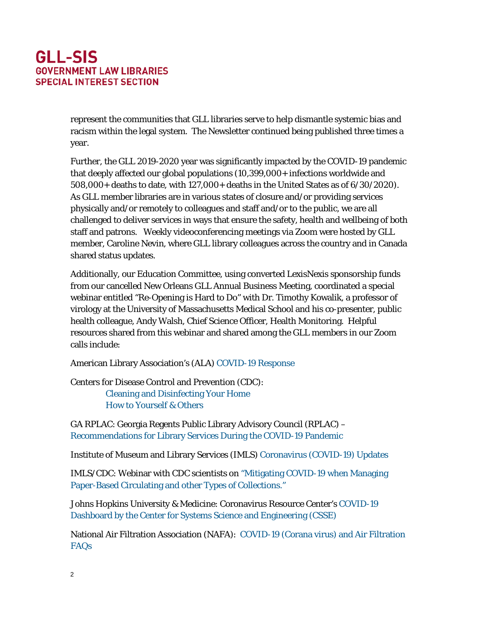represent the communities that GLL libraries serve to help dismantle systemic bias and racism within the legal system. The Newsletter continued being published three times a year.

Further, the GLL 2019-2020 year was significantly impacted by the COVID-19 pandemic that deeply affected our global populations (10,399,000+ infections worldwide and 508,000+ deaths to date, with 127,000+ deaths in the United States as of 6/30/2020). As GLL member libraries are in various states of closure and/or providing services physically and/or remotely to colleagues and staff and/or to the public, we are all challenged to deliver services in ways that ensure the safety, health and wellbeing of both staff and patrons. Weekly videoconferencing meetings via Zoom were hosted by GLL member, Caroline Nevin, where GLL library colleagues across the country and in Canada shared status updates.

Additionally, our Education Committee, using converted LexisNexis sponsorship funds from our cancelled New Orleans GLL Annual Business Meeting, coordinated a special webinar entitled "Re-Opening is Hard to Do" with Dr. Timothy Kowalik, a professor of virology at the University of Massachusetts Medical School and his co-presenter, public health colleague, Andy Walsh, Chief Science Officer, Health Monitoring. Helpful resources shared from this webinar and shared among the GLL members in our Zoom calls include:

American Library Association's (ALA[\) COVID-19 Response](http://www.ala.org/tools/ala-covid-19-response)

Centers for Disease Control and Prevention (CDC): [Cleaning and Disinfecting Your Home](https://www.cdc.gov/coronavirus/2019-ncov/prevent-getting-sick/disinfecting-your-home.html) [How to Yourself & Others](https://www.cdc.gov/coronavirus/2019-ncov/prevent-getting-sick/prevention.html)

GA RPLAC: Georgia Regents Public Library Advisory Council (RPLAC) –

[Recommendations for Library Services During the COVID-19 Pandemic](https://georgialibraries.org/wp-content/uploads/2020/04/Recommendations-for-Library-Services-During-The-Covid-19-Pandemic.pdf)

Institute of Museum and Library Services (IMLS) [Coronavirus \(COVID-19\) Updates](https://www.imls.gov/coronavirus-covid-19-updates)

IMLS/CDC: Webinar with CDC scientists o[n "Mitigating COVID-19 when Managing](https://www.imls.gov/webinars/mitigating-covid-19-when-managing-paper-based-circulating-and-other-types-collections)  [Paper-Based Circulating and other Types of Collections."](https://www.imls.gov/webinars/mitigating-covid-19-when-managing-paper-based-circulating-and-other-types-collections)

Johns Hopkins University & Medicine: Coronavirus Resource Center's [COVID-19](https://coronavirus.jhu.edu/map.html)  [Dashboard by the Center for Systems Science and Engineering \(CSSE\)](https://coronavirus.jhu.edu/map.html)

National Air Filtration Association (NAFA): [COVID-19 \(Corana virus\) and Air Filtration](https://www.nafahq.org/covid-19-corona-virus-and-air-filtration-frequently-asked-questions-faqs/)  [FAQs](https://www.nafahq.org/covid-19-corona-virus-and-air-filtration-frequently-asked-questions-faqs/)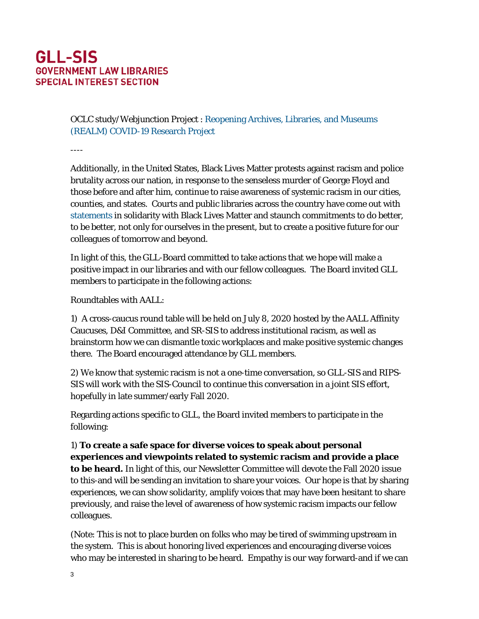OCLC study/Webjunction Project : [Reopening Archives, Libraries, and Museums](https://www.webjunction.org/explore-topics/COVID-19-research-project.html)  [\(REALM\) COVID-19 Research Project](https://www.webjunction.org/explore-topics/COVID-19-research-project.html)

----

Additionally, in the United States, Black Lives Matter protests against racism and police brutality across our nation, in response to the senseless murder of George Floyd and those before and after him, continue to raise awareness of systemic racism in our cities, counties, and states. Courts and public libraries across the country have come out with [statements](https://www.ncsc.org/newsroom/state-court-statements-on-racial-justice) in solidarity with Black Lives Matter and staunch commitments to do better, to be better, not only for ourselves in the present, but to create a positive future for our colleagues of tomorrow and beyond.

In light of this, the GLL-Board committed to take actions that we hope will make a positive impact in our libraries and with our fellow colleagues. The Board invited GLL members to participate in the following actions:

Roundtables with AALL:

1) A cross-caucus round table will be held on July 8, 2020 hosted by the AALL Affinity Caucuses, D&I Committee, and SR-SIS to address institutional racism, as well as brainstorm how we can dismantle toxic workplaces and make positive systemic changes there. The Board encouraged attendance by GLL members.

2) We know that systemic racism is not a one-time conversation, so GLL-SIS and RIPS-SIS will work with the SIS-Council to continue this conversation in a joint SIS effort, hopefully in late summer/early Fall 2020.

Regarding actions specific to GLL, the Board invited members to participate in the following:

1) **To create a safe space for diverse voices to speak about personal experiences and viewpoints related to systemic racism and provide a place to be heard.** In light of this, our Newsletter Committee will devote the Fall 2020 issue to this-and will be sending an invitation to share your voices. Our hope is that by sharing experiences, we can show solidarity, amplify voices that may have been hesitant to share previously, and raise the level of awareness of how systemic racism impacts our fellow colleagues.

(Note: This is not to place burden on folks who may be tired of swimming upstream in the system. This is about honoring *lived* experiences and encouraging diverse voices who may be interested in sharing to be heard. Empathy is our way forward-and if we can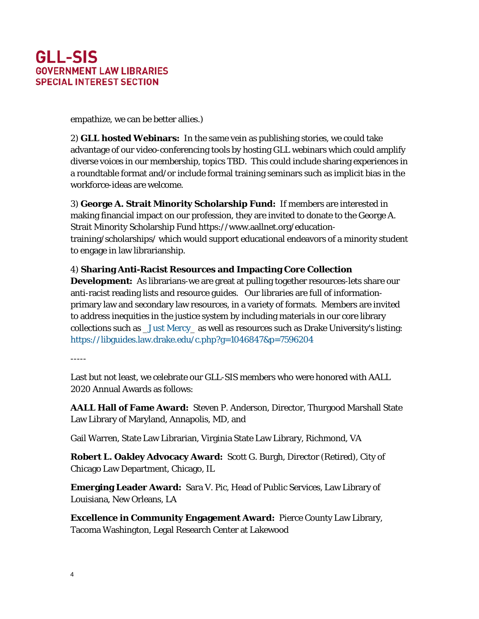empathize, we can be better allies.)

2) **GLL hosted Webinars:** In the same vein as publishing stories, we could take advantage of our video-conferencing tools by hosting GLL webinars which could amplify diverse voices in our membership, topics TBD. This could include sharing experiences in a roundtable format and/or include formal training seminars such as implicit bias in the workforce-ideas are welcome.

3) **George A. Strait Minority Scholarship Fund:** If members are interested in making financial impact on our profession, they are invited to donate to the George A. Strait Minority Scholarship Fund https://www.aallnet.org/educationtraining/scholarships/ which would support educational endeavors of a minority student to engage in law librarianship.

#### 4) **Sharing Anti-Racist Resources and Impacting Core Collection**

**Development:** As librarians-we are great at pulling together resources-lets share our anti-racist reading lists and resource guides. Our libraries are full of informationprimary law and secondary law resources, in a variety of formats. Members are invited to address inequities in the justice system by including materials in our core library collections such as [\\_Just Mercy\\_](https://lccn.loc.gov/2020289223) as well as resources such as Drake University's listing: <https://libguides.law.drake.edu/c.php?g=1046847&p=7596204>

-----

Last but not least, we celebrate our GLL-SIS members who were honored with AALL 2020 Annual Awards as follows:

**AALL Hall of Fame Award:** Steven P. Anderson, Director, Thurgood Marshall State Law Library of Maryland, Annapolis, MD, and

Gail Warren, State Law Librarian, Virginia State Law Library, Richmond, VA

**Robert L. Oakley Advocacy Award:** Scott G. Burgh, Director (Retired), City of Chicago Law Department, Chicago, IL

**Emerging Leader Award:** Sara V. Pic, Head of Public Services, Law Library of Louisiana, New Orleans, LA

**Excellence in Community Engagement Award:** Pierce County Law Library, Tacoma Washington, Legal Research Center at Lakewood